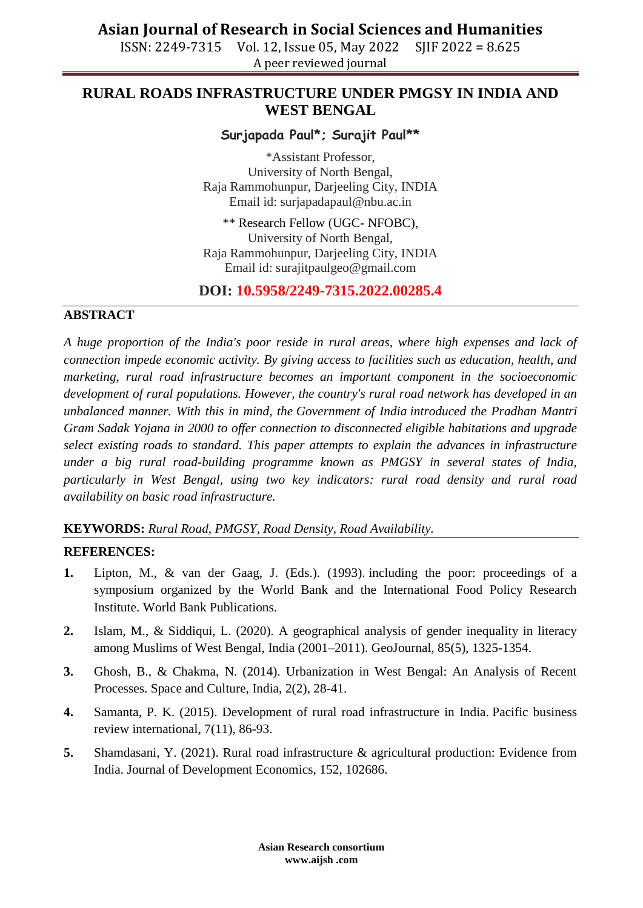# **Asian Journal of Research in Social Sciences and Humanities**

ISSN: 2249-7315 Vol. 12, Issue 05, May 2022 SJIF 2022 = 8.625 A peer reviewed journal

## **RURAL ROADS INFRASTRUCTURE UNDER PMGSY IN INDIA AND WEST BENGAL**

## **Surjapada Paul\*; Surajit Paul\*\***

\*Assistant Professor, University of North Bengal, Raja Rammohunpur, Darjeeling City, INDIA Email id: [surjapadapaul@nbu.ac.in](mailto:surjapadapaul@nbu.ac.in)

\*\* Research Fellow (UGC- NFOBC), University of North Bengal, Raja Rammohunpur, Darjeeling City, INDIA Email id: [surajitpaulgeo@gmail.com](mailto:surajitpaulgeo@gmail.com)

## **DOI: 10.5958/2249-7315.2022.00285.4**

#### **ABSTRACT**

*A huge proportion of the India's poor reside in rural areas, where high expenses and lack of connection impede economic activity. By giving access to facilities such as education, health, and marketing, rural road infrastructure becomes an important component in the socioeconomic development of rural populations. However, the country's rural road network has developed in an unbalanced manner. With this in mind, the Government of India introduced the Pradhan Mantri Gram Sadak Yojana in 2000 to offer connection to disconnected eligible habitations and upgrade select existing roads to standard. This paper attempts to explain the advances in infrastructure under a big rural road-building programme known as PMGSY in several states of India, particularly in West Bengal, using two key indicators: rural road density and rural road availability on basic road infrastructure.*

#### **KEYWORDS:** *Rural Road, PMGSY, Road Density, Road Availability.*

#### **REFERENCES:**

- **1.** Lipton, M., & van der Gaag, J. (Eds.). (1993). including the poor: proceedings of a symposium organized by the World Bank and the International Food Policy Research Institute. World Bank Publications.
- **2.** Islam, M., & Siddiqui, L. (2020). A geographical analysis of gender inequality in literacy among Muslims of West Bengal, India (2001–2011). GeoJournal, 85(5), 1325-1354.
- **3.** Ghosh, B., & Chakma, N. (2014). Urbanization in West Bengal: An Analysis of Recent Processes. Space and Culture, India, 2(2), 28-41.
- **4.** Samanta, P. K. (2015). Development of rural road infrastructure in India. Pacific business review international, 7(11), 86-93.
- **5.** Shamdasani, Y. (2021). Rural road infrastructure & agricultural production: Evidence from India. Journal of Development Economics, 152, 102686.